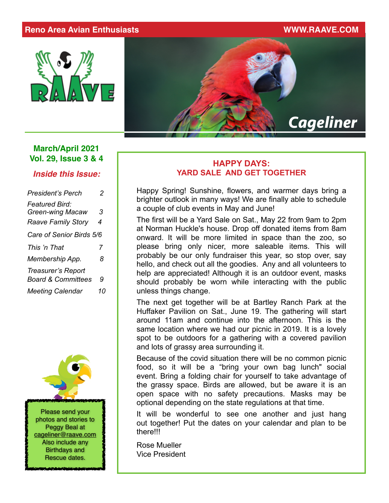### **Reno Area Avian Enthusiasts WWW.RAAVE.COM**



# *Cageliner*

## **March/April 2021 Vol. 29, Issue 3 & 4**

*Inside this Issue:*

| <b>President's Perch</b>                                                      | 2      |
|-------------------------------------------------------------------------------|--------|
| <b>Featured Bird:</b><br><b>Green-wing Macaw</b><br><b>Raave Family Story</b> | 3<br>4 |
| Care of Senior Birds 5/6                                                      |        |
| This 'n That                                                                  | 7      |
| Membership App.                                                               | 8      |
| Treasurer's Report<br><b>Board &amp; Committees</b>                           | 9      |
| <b>Meeting Calendar</b>                                                       | 10     |



### **HAPPY DAYS: YARD SALE AND GET TOGETHER**

Happy Spring! Sunshine, flowers, and warmer days bring a brighter outlook in many ways! We are finally able to schedule a couple of club events in May and June!

The first will be a Yard Sale on Sat., May 22 from 9am to 2pm at Norman Huckle's house. Drop off donated items from 8am onward. It will be more limited in space than the zoo, so please bring only nicer, more saleable items. This will probably be our only fundraiser this year, so stop over, say hello, and check out all the goodies. Any and all volunteers to help are appreciated! Although it is an outdoor event, masks should probably be worn while interacting with the public unless things change.

The next get together will be at Bartley Ranch Park at the Huffaker Pavilion on Sat., June 19. The gathering will start around 11am and continue into the afternoon. This is the same location where we had our picnic in 2019. It is a lovely spot to be outdoors for a gathering with a covered pavilion and lots of grassy area surrounding it.

Because of the covid situation there will be no common picnic food, so it will be a "bring your own bag lunch" social event. Bring a folding chair for yourself to take advantage of the grassy space. Birds are allowed, but be aware it is an open space with no safety precautions. Masks may be optional depending on the state regulations at that time.

It will be wonderful to see one another and just hang out together! Put the dates on your calendar and plan to be there!!!

Rose Mueller Vice President